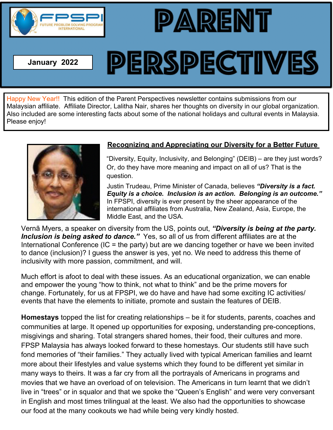

**January 2022**

# **PERSPECTIVES**

PARENT

Happy New Year!! This edition of the Parent Perspectives newsletter contains submissions from our Malaysian affiliate. Affiliate Director, Lalitha Nair, shares her thoughts on diversity in our global organization. Also included are some interesting facts about some of the national holidays and cultural events in Malaysia. Please enjoy!



## **Recognizing and Appreciating our Diversity for a Better Future**

"Diversity, Equity, Inclusivity, and Belonging" (DEIB) – are they just words? Or, do they have more meaning and impact on all of us? That is the question.

Justin Trudeau, Prime Minister of Canada, believes "Diversity is a fact. Equity is a choice. Inclusion is an action. Belonging is an outcome." In FPSPI, diversity is ever present by the sheer appearance of the international affiliates from Australia, New Zealand, Asia, Europe, the Middle East, and the USA.

Vernã Myers, a speaker on diversity from the US, points out, "Diversity is being at the party. Inclusion is being asked to dance." Yes, so all of us from different affiliates are at the International Conference (IC = the party) but are we dancing together or have we been invited to dance (inclusion)? I guess the answer is yes, yet no. We need to address this theme of inclusivity with more passion, commitment, and will.

Much effort is afoot to deal with these issues. As an educational organization, we can enable and empower the young "how to think, not what to think" and be the prime movers for change. Fortunately, for us at FPSPI, we do have and have had some exciting IC activities/ events that have the elements to initiate, promote and sustain the features of DEIB.

**Homestays** topped the list for creating relationships – be it for students, parents, coaches and communities at large. It opened up opportunities for exposing, understanding pre-conceptions, misgivings and sharing. Total strangers shared homes, their food, their cultures and more. FPSP Malaysia has always looked forward to these homestays. Our students still have such fond memories of "their families." They actually lived with typical American families and learnt more about their lifestyles and value systems which they found to be different yet similar in many ways to theirs. It was a far cry from all the portrayals of Americans in programs and movies that we have an overload of on television. The Americans in turn learnt that we didn't live in "trees" or in squalor and that we spoke the "Queen's English" and were very conversant in English and most times trilingual at the least. We also had the opportunities to showcase our food at the many cookouts we had while being very kindly hosted.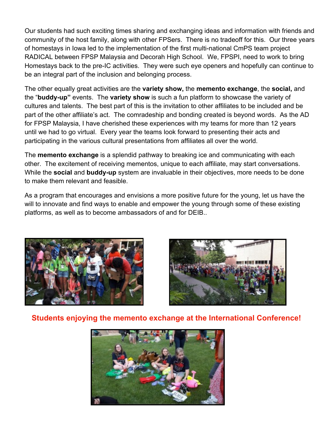Our students had such exciting times sharing and exchanging ideas and information with friends and community of the host family, along with other FPSers. There is no tradeoff for this. Our three years of homestays in lowa led to the implementation of the first multi-national CmPS team project RADICAL between FPSP Malaysia and Decorah High School. We, FPSPI, need to work to bring Homestays back to the pre-IC activities. They were such eye openers and hopefully can continue to be an integral part of the inclusion and belonging process.

The other equally great activities are the **variety show**, the **memento exchange**, the **social**, and the "buddy-up" events. The variety show is such a fun platform to showcase the variety of cultures and talents. The best part of this is the invitation to other affiliates to be included and be part of the other affiliate's act. The comradeship and bonding created is beyond words. As the AD for FPSP Malaysia, I have cherished these experiences with my teams for more than 12 years until we had to go virtual. Every year the teams look forward to presenting their acts and participating in the various cultural presentations from affiliates all over the world.

The memento exchange is a splendid pathway to breaking ice and communicating with each other. The excitement of receiving mementos, unique to each affiliate, may start conversations. While the social and buddy-up system are invaluable in their objectives, more needs to be done to make them relevant and feasible

As a program that encourages and envisions a more positive future for the young, let us have the will to innovate and find ways to enable and empower the young through some of these existing platforms, as well as to become ambassadors of and for DEIB..





Students enjoying the memento exchange at the International Conference!